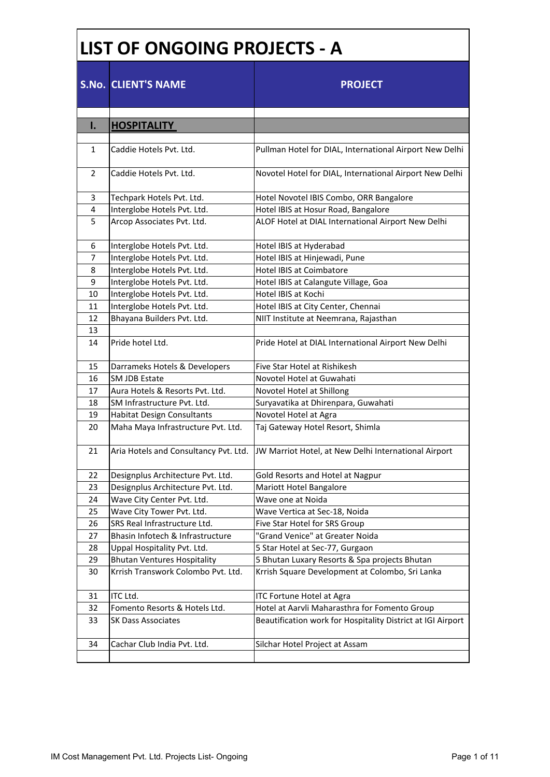## **LIST OF ONGOING PROJECTS - A**

|                | <b>S.No. CLIENT'S NAME</b>            | <b>PROJECT</b>                                              |
|----------------|---------------------------------------|-------------------------------------------------------------|
| I.             | <b>HOSPITALITY</b>                    |                                                             |
|                |                                       |                                                             |
| 1              | Caddie Hotels Pvt. Ltd.               | Pullman Hotel for DIAL, International Airport New Delhi     |
| 2              | Caddie Hotels Pvt. Ltd.               | Novotel Hotel for DIAL, International Airport New Delhi     |
| 3              | Techpark Hotels Pvt. Ltd.             | Hotel Novotel IBIS Combo, ORR Bangalore                     |
| $\overline{4}$ | Interglobe Hotels Pvt. Ltd.           | Hotel IBIS at Hosur Road, Bangalore                         |
| 5              | Arcop Associates Pvt. Ltd.            | ALOF Hotel at DIAL International Airport New Delhi          |
| 6              | Interglobe Hotels Pvt. Ltd.           | Hotel IBIS at Hyderabad                                     |
| $\overline{7}$ | Interglobe Hotels Pvt. Ltd.           | Hotel IBIS at Hinjewadi, Pune                               |
| 8              | Interglobe Hotels Pvt. Ltd.           | <b>Hotel IBIS at Coimbatore</b>                             |
| 9              | Interglobe Hotels Pvt. Ltd.           | Hotel IBIS at Calangute Village, Goa                        |
| 10             | Interglobe Hotels Pvt. Ltd.           | Hotel IBIS at Kochi                                         |
| 11             | Interglobe Hotels Pvt. Ltd.           | Hotel IBIS at City Center, Chennai                          |
| 12             | Bhayana Builders Pvt. Ltd.            | NIIT Institute at Neemrana, Rajasthan                       |
| 13             |                                       |                                                             |
| 14             | Pride hotel Ltd.                      | Pride Hotel at DIAL International Airport New Delhi         |
| 15             | Darrameks Hotels & Developers         | Five Star Hotel at Rishikesh                                |
| 16             | <b>SM JDB Estate</b>                  | Novotel Hotel at Guwahati                                   |
| 17             | Aura Hotels & Resorts Pvt. Ltd.       | Novotel Hotel at Shillong                                   |
| 18             | SM Infrastructure Pvt. Ltd.           | Suryavatika at Dhirenpara, Guwahati                         |
| 19             | <b>Habitat Design Consultants</b>     | Novotel Hotel at Agra                                       |
| 20             | Maha Maya Infrastructure Pvt. Ltd.    | Taj Gateway Hotel Resort, Shimla                            |
| 21             | Aria Hotels and Consultancy Pvt. Ltd. | JW Marriot Hotel, at New Delhi International Airport        |
| 22             | Designplus Architecture Pvt. Ltd.     | Gold Resorts and Hotel at Nagpur                            |
| 23             | Designplus Architecture Pvt. Ltd.     | Mariott Hotel Bangalore                                     |
| 24             | Wave City Center Pvt. Ltd.            | Wave one at Noida                                           |
| 25             | Wave City Tower Pvt. Ltd.             | Wave Vertica at Sec-18, Noida                               |
| 26             | SRS Real Infrastructure Ltd.          | Five Star Hotel for SRS Group                               |
| 27             | Bhasin Infotech & Infrastructure      | "Grand Venice" at Greater Noida                             |
| 28             | Uppal Hospitality Pvt. Ltd.           | 5 Star Hotel at Sec-77, Gurgaon                             |
| 29             | <b>Bhutan Ventures Hospitality</b>    | 5 Bhutan Luxary Resorts & Spa projects Bhutan               |
| 30             | Krrish Transwork Colombo Pvt. Ltd.    | Krrish Square Development at Colombo, Sri Lanka             |
| 31             | ITC Ltd.                              | <b>ITC Fortune Hotel at Agra</b>                            |
| 32             | Fomento Resorts & Hotels Ltd.         | Hotel at Aarvli Maharasthra for Fomento Group               |
| 33             | <b>SK Dass Associates</b>             | Beautification work for Hospitality District at IGI Airport |
| 34             | Cachar Club India Pvt. Ltd.           | Silchar Hotel Project at Assam                              |
|                |                                       |                                                             |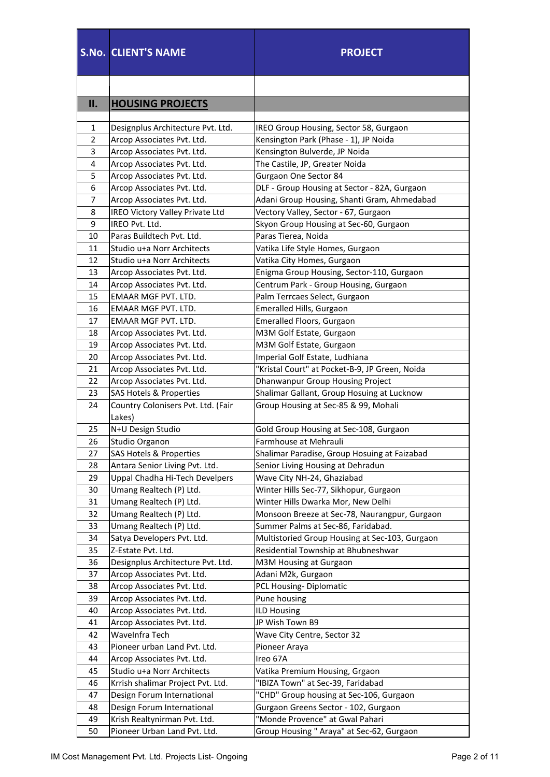|     | <b>S.No. CLIENT'S NAME</b>                   | <b>PROJECT</b>                                 |
|-----|----------------------------------------------|------------------------------------------------|
|     |                                              |                                                |
| II. | <b>HOUSING PROJECTS</b>                      |                                                |
|     |                                              |                                                |
| 1   | Designplus Architecture Pvt. Ltd.            | IREO Group Housing, Sector 58, Gurgaon         |
| 2   | Arcop Associates Pvt. Ltd.                   | Kensington Park (Phase - 1), JP Noida          |
| 3   | Arcop Associates Pvt. Ltd.                   | Kensington Bulverde, JP Noida                  |
| 4   | Arcop Associates Pvt. Ltd.                   | The Castile, JP, Greater Noida                 |
| 5   | Arcop Associates Pvt. Ltd.                   | Gurgaon One Sector 84                          |
| 6   | Arcop Associates Pvt. Ltd.                   | DLF - Group Housing at Sector - 82A, Gurgaon   |
| 7   | Arcop Associates Pvt. Ltd.                   | Adani Group Housing, Shanti Gram, Ahmedabad    |
| 8   | IREO Victory Valley Private Ltd              | Vectory Valley, Sector - 67, Gurgaon           |
| 9   | IREO Pvt. Ltd.                               | Skyon Group Housing at Sec-60, Gurgaon         |
| 10  | Paras Buildtech Pvt. Ltd.                    | Paras Tierea, Noida                            |
| 11  | Studio u+a Norr Architects                   | Vatika Life Style Homes, Gurgaon               |
| 12  | Studio u+a Norr Architects                   | Vatika City Homes, Gurgaon                     |
| 13  | Arcop Associates Pvt. Ltd.                   | Enigma Group Housing, Sector-110, Gurgaon      |
| 14  | Arcop Associates Pvt. Ltd.                   | Centrum Park - Group Housing, Gurgaon          |
| 15  | EMAAR MGF PVT. LTD.                          | Palm Terrcaes Select, Gurgaon                  |
| 16  | EMAAR MGF PVT. LTD.                          | Emeralled Hills, Gurgaon                       |
| 17  | EMAAR MGF PVT. LTD.                          | Emeralled Floors, Gurgaon                      |
| 18  | Arcop Associates Pvt. Ltd.                   | M3M Golf Estate, Gurgaon                       |
| 19  | Arcop Associates Pvt. Ltd.                   | M3M Golf Estate, Gurgaon                       |
| 20  | Arcop Associates Pvt. Ltd.                   | Imperial Golf Estate, Ludhiana                 |
| 21  | Arcop Associates Pvt. Ltd.                   | "Kristal Court" at Pocket-B-9, JP Green, Noida |
| 22  | Arcop Associates Pvt. Ltd.                   | Dhanwanpur Group Housing Project               |
| 23  | <b>SAS Hotels &amp; Properties</b>           | Shalimar Gallant, Group Hosuing at Lucknow     |
| 24  | Country Colonisers Pvt. Ltd. (Fair<br>Lakes) | Group Housing at Sec-85 & 99, Mohali           |
| 25  | N+U Design Studio                            | Gold Group Housing at Sec-108, Gurgaon         |
| 26  | Studio Organon                               | Farmhouse at Mehrauli                          |
| 27  | <b>SAS Hotels &amp; Properties</b>           | Shalimar Paradise, Group Hosuing at Faizabad   |
| 28  | Antara Senior Living Pvt. Ltd.               | Senior Living Housing at Dehradun              |
| 29  | Uppal Chadha Hi-Tech Develpers               | Wave City NH-24, Ghaziabad                     |
| 30  | Umang Realtech (P) Ltd.                      | Winter Hills Sec-77, Sikhopur, Gurgaon         |
| 31  | Umang Realtech (P) Ltd.                      | Winter Hills Dwarka Mor, New Delhi             |
| 32  | Umang Realtech (P) Ltd.                      | Monsoon Breeze at Sec-78, Naurangpur, Gurgaon  |
| 33  | Umang Realtech (P) Ltd.                      | Summer Palms at Sec-86, Faridabad.             |
| 34  | Satya Developers Pvt. Ltd.                   | Multistoried Group Housing at Sec-103, Gurgaon |
| 35  | Z-Estate Pvt. Ltd.                           | Residential Township at Bhubneshwar            |
| 36  | Designplus Architecture Pvt. Ltd.            | M3M Housing at Gurgaon                         |
| 37  | Arcop Associates Pvt. Ltd.                   | Adani M2k, Gurgaon                             |
| 38  | Arcop Associates Pvt. Ltd.                   | PCL Housing-Diplomatic                         |
| 39  | Arcop Associates Pvt. Ltd.                   | Pune housing                                   |
| 40  | Arcop Associates Pvt. Ltd.                   | <b>ILD Housing</b>                             |
| 41  | Arcop Associates Pvt. Ltd.                   | JP Wish Town B9                                |
| 42  | WaveInfra Tech                               | Wave City Centre, Sector 32                    |
| 43  | Pioneer urban Land Pvt. Ltd.                 | Pioneer Araya                                  |
| 44  | Arcop Associates Pvt. Ltd.                   | Ireo 67A                                       |
| 45  | Studio u+a Norr Architects                   | Vatika Premium Housing, Grgaon                 |
| 46  | Krrish shalimar Project Pvt. Ltd.            | "IBIZA Town" at Sec-39, Faridabad              |
| 47  | Design Forum International                   | "CHD" Group housing at Sec-106, Gurgaon        |
| 48  | Design Forum International                   | Gurgaon Greens Sector - 102, Gurgaon           |
| 49  | Krish Realtynirman Pvt. Ltd.                 | "Monde Provence" at Gwal Pahari                |
| 50  | Pioneer Urban Land Pvt. Ltd.                 | Group Housing " Araya" at Sec-62, Gurgaon      |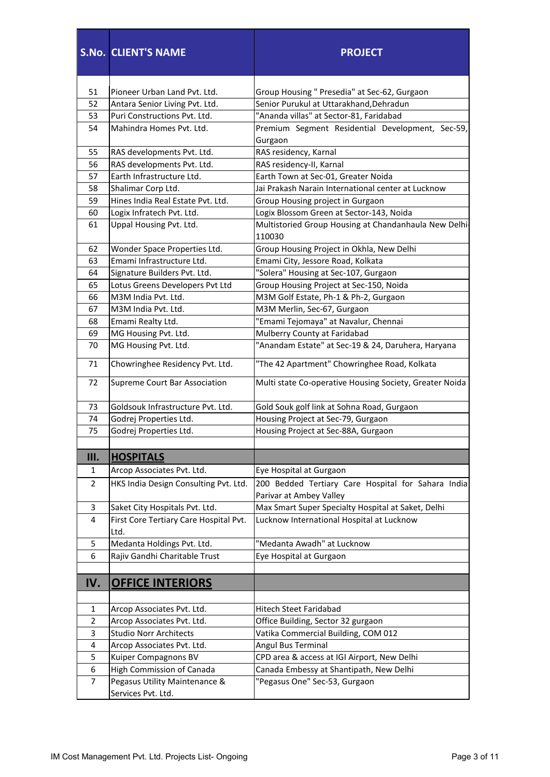|                | <b>S.No. CLIENT'S NAME</b>                     | <b>PROJECT</b>                                                  |
|----------------|------------------------------------------------|-----------------------------------------------------------------|
| 51             | Pioneer Urban Land Pvt. Ltd.                   | Group Housing " Presedia" at Sec-62, Gurgaon                    |
| 52             | Antara Senior Living Pvt. Ltd.                 | Senior Purukul at Uttarakhand, Dehradun                         |
| 53             | Puri Constructions Pvt. Ltd.                   | "Ananda villas" at Sector-81, Faridabad                         |
| 54             | Mahindra Homes Pvt. Ltd.                       | Premium Segment Residential Development, Sec-59,                |
|                |                                                | Gurgaon                                                         |
| 55             | RAS developments Pvt. Ltd.                     | RAS residency, Karnal                                           |
| 56             | RAS developments Pvt. Ltd.                     | RAS residency-II, Karnal                                        |
| 57             | Earth Infrastructure Ltd.                      | Earth Town at Sec-01, Greater Noida                             |
| 58             | Shalimar Corp Ltd.                             | Jai Prakash Narain International center at Lucknow              |
| 59             | Hines India Real Estate Pvt. Ltd.              | Group Housing project in Gurgaon                                |
| 60             | Logix Infratech Pvt. Ltd.                      | Logix Blossom Green at Sector-143, Noida                        |
| 61             | Uppal Housing Pvt. Ltd.                        | Multistoried Group Housing at Chandanhaula New Delhi-<br>110030 |
| 62             | Wonder Space Properties Ltd.                   | Group Housing Project in Okhla, New Delhi                       |
| 63             | Emami Infrastructure Ltd.                      | Emami City, Jessore Road, Kolkata                               |
| 64             | Signature Builders Pvt. Ltd.                   | "Solera" Housing at Sec-107, Gurgaon                            |
| 65             | Lotus Greens Developers Pvt Ltd                | Group Housing Project at Sec-150, Noida                         |
| 66             | M3M India Pvt. Ltd.                            | M3M Golf Estate, Ph-1 & Ph-2, Gurgaon                           |
| 67             | M3M India Pvt. Ltd.                            | M3M Merlin, Sec-67, Gurgaon                                     |
| 68             | Emami Realty Ltd.                              | "Emami Tejomaya" at Navalur, Chennai                            |
| 69             | MG Housing Pvt. Ltd.                           | Mulberry County at Faridabad                                    |
| 70             | MG Housing Pvt. Ltd.                           | "Anandam Estate" at Sec-19 & 24, Daruhera, Haryana              |
| 71             | Chowringhee Residency Pvt. Ltd.                | "The 42 Apartment" Chowringhee Road, Kolkata                    |
| 72             | Supreme Court Bar Association                  | Multi state Co-operative Housing Society, Greater Noida         |
| 73             | Goldsouk Infrastructure Pvt. Ltd.              | Gold Souk golf link at Sohna Road, Gurgaon                      |
| 74             | Godrej Properties Ltd.                         | Housing Project at Sec-79, Gurgaon                              |
| 75             | Godrej Properties Ltd.                         | Housing Project at Sec-88A, Gurgaon                             |
|                |                                                |                                                                 |
| Ш.             | <b>HOSPITALS</b>                               |                                                                 |
| 1              | Arcop Associates Pvt. Ltd.                     | Eye Hospital at Gurgaon                                         |
| $\overline{2}$ | HKS India Design Consulting Pvt. Ltd.          | 200 Bedded Tertiary Care Hospital for Sahara India              |
|                |                                                | Parivar at Ambey Valley                                         |
| 3              | Saket City Hospitals Pvt. Ltd.                 | Max Smart Super Specialty Hospital at Saket, Delhi              |
| 4              | First Core Tertiary Care Hospital Pvt.<br>Ltd. | Lucknow International Hospital at Lucknow                       |
| 5              | Medanta Holdings Pvt. Ltd.                     | "Medanta Awadh" at Lucknow                                      |
| 6              | Rajiv Gandhi Charitable Trust                  | Eye Hospital at Gurgaon                                         |
|                |                                                |                                                                 |
| IV.            | <b>OFFICE INTERIORS</b>                        |                                                                 |
| 1              | Arcop Associates Pvt. Ltd.                     | Hitech Steet Faridabad                                          |
| $\overline{2}$ | Arcop Associates Pvt. Ltd.                     | Office Building, Sector 32 gurgaon                              |
| 3              | <b>Studio Norr Architects</b>                  | Vatika Commercial Building, COM 012                             |
| 4              | Arcop Associates Pvt. Ltd.                     | Angul Bus Terminal                                              |
| 5              | Kuiper Compagnons BV                           | CPD area & access at IGI Airport, New Delhi                     |
| 6              | High Commission of Canada                      | Canada Embessy at Shantipath, New Delhi                         |
| $\overline{7}$ | Pegasus Utility Maintenance &                  | "Pegasus One" Sec-53, Gurgaon                                   |
|                | Services Pvt. Ltd.                             |                                                                 |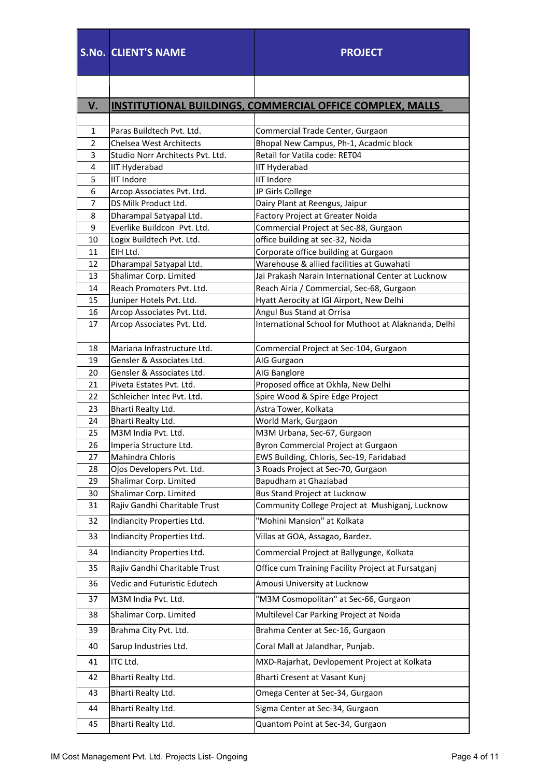|                | <b>S.No. CLIENT'S NAME</b>                 | <b>PROJECT</b>                                                                    |
|----------------|--------------------------------------------|-----------------------------------------------------------------------------------|
|                |                                            |                                                                                   |
| V.             |                                            | INSTITUTIONAL BUILDINGS, COMMERCIAL OFFICE COMPLEX, MALLS                         |
|                |                                            |                                                                                   |
| 1              | Paras Buildtech Pvt. Ltd.                  | Commercial Trade Center, Gurgaon                                                  |
| $\overline{2}$ | <b>Chelsea West Architects</b>             | Bhopal New Campus, Ph-1, Acadmic block                                            |
| 3              | Studio Norr Architects Pyt. Ltd.           | Retail for Vatila code: RET04                                                     |
| 4              | IIT Hyderabad                              | <b>IIT Hyderabad</b>                                                              |
| 5              | <b>IIT Indore</b>                          | <b>IIT Indore</b>                                                                 |
| 6              | Arcop Associates Pvt. Ltd.                 | JP Girls College                                                                  |
| 7              | DS Milk Product Ltd.                       | Dairy Plant at Reengus, Jaipur                                                    |
| 8              | Dharampal Satyapal Ltd.                    | Factory Project at Greater Noida                                                  |
| 9              | Everlike Buildcon Pvt. Ltd.                | Commercial Project at Sec-88, Gurgaon                                             |
| 10             | Logix Buildtech Pvt. Ltd.                  | office building at sec-32, Noida                                                  |
| 11<br>12       | EIH Ltd.<br>Dharampal Satyapal Ltd.        | Corporate office building at Gurgaon<br>Warehouse & allied facilities at Guwahati |
| 13             | Shalimar Corp. Limited                     | Jai Prakash Narain International Center at Lucknow                                |
| 14             | Reach Promoters Pyt. Ltd.                  | Reach Airia / Commercial, Sec-68, Gurgaon                                         |
| 15             | Juniper Hotels Pvt. Ltd.                   | Hyatt Aerocity at IGI Airport, New Delhi                                          |
| 16             | Arcop Associates Pvt. Ltd.                 | Angul Bus Stand at Orrisa                                                         |
| 17             | Arcop Associates Pvt. Ltd.                 | International School for Muthoot at Alaknanda, Delhi                              |
| 18             | Mariana Infrastructure Ltd.                | Commercial Project at Sec-104, Gurgaon                                            |
| 19             | Gensler & Associates Ltd.                  | AIG Gurgaon                                                                       |
| 20             | Gensler & Associates Ltd.                  | AIG Banglore                                                                      |
| 21             | Piveta Estates Pvt. Ltd.                   | Proposed office at Okhla, New Delhi                                               |
| 22             | Schleicher Intec Pvt. Ltd.                 | Spire Wood & Spire Edge Project                                                   |
| 23             | Bharti Realty Ltd.                         | Astra Tower, Kolkata                                                              |
| 24             | Bharti Realty Ltd.                         | World Mark, Gurgaon                                                               |
| 25<br>26       | M3M India Pvt. Ltd.                        | M3M Urbana, Sec-67, Gurgaon                                                       |
| 27             | Imperia Structure Ltd.<br>Mahindra Chloris | Byron Commercial Project at Gurgaon<br>EWS Building, Chloris, Sec-19, Faridabad   |
| 28             | Ojos Developers Pvt. Ltd.                  | 3 Roads Project at Sec-70, Gurgaon                                                |
| 29             | Shalimar Corp. Limited                     | Bapudham at Ghaziabad                                                             |
| 30             | Shalimar Corp. Limited                     | <b>Bus Stand Project at Lucknow</b>                                               |
| 31             | Rajiv Gandhi Charitable Trust              | Community College Project at Mushiganj, Lucknow                                   |
| 32             | Indiancity Properties Ltd.                 | "Mohini Mansion" at Kolkata                                                       |
| 33             | Indiancity Properties Ltd.                 | Villas at GOA, Assagao, Bardez.                                                   |
| 34             | Indiancity Properties Ltd.                 | Commercial Project at Ballygunge, Kolkata                                         |
| 35             | Rajiv Gandhi Charitable Trust              | Office cum Training Facility Project at Fursatganj                                |
| 36             | Vedic and Futuristic Edutech               | Amousi University at Lucknow                                                      |
| 37             | M3M India Pvt. Ltd.                        | "M3M Cosmopolitan" at Sec-66, Gurgaon                                             |
| 38             | Shalimar Corp. Limited                     | Multilevel Car Parking Project at Noida                                           |
|                |                                            |                                                                                   |
| 39             | Brahma City Pvt. Ltd.                      | Brahma Center at Sec-16, Gurgaon                                                  |
| 40             | Sarup Industries Ltd.                      | Coral Mall at Jalandhar, Punjab.                                                  |
| 41             | ITC Ltd.                                   | MXD-Rajarhat, Devlopement Project at Kolkata                                      |
| 42             | Bharti Realty Ltd.                         | Bharti Cresent at Vasant Kunj                                                     |
| 43             | Bharti Realty Ltd.                         | Omega Center at Sec-34, Gurgaon                                                   |
| 44             | Bharti Realty Ltd.                         | Sigma Center at Sec-34, Gurgaon                                                   |
| 45             | Bharti Realty Ltd.                         | Quantom Point at Sec-34, Gurgaon                                                  |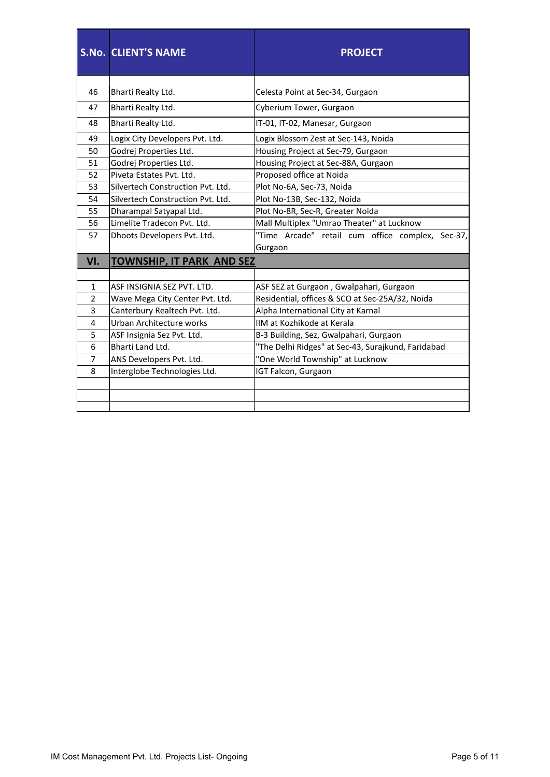|                | <b>S.No. CLIENT'S NAME</b>        | <b>PROJECT</b>                                     |
|----------------|-----------------------------------|----------------------------------------------------|
| 46             | Bharti Realty Ltd.                | Celesta Point at Sec-34, Gurgaon                   |
| 47             | Bharti Realty Ltd.                | Cyberium Tower, Gurgaon                            |
|                |                                   |                                                    |
| 48             | Bharti Realty Ltd.                | IT-01, IT-02, Manesar, Gurgaon                     |
| 49             | Logix City Developers Pvt. Ltd.   | Logix Blossom Zest at Sec-143, Noida               |
| 50             | Godrej Properties Ltd.            | Housing Project at Sec-79, Gurgaon                 |
| 51             | Godrej Properties Ltd.            | Housing Project at Sec-88A, Gurgaon                |
| 52             | Piveta Estates Pvt. Ltd.          | Proposed office at Noida                           |
| 53             | Silvertech Construction Pvt. Ltd. | Plot No-6A, Sec-73, Noida                          |
| 54             | Silvertech Construction Pvt. Ltd. | Plot No-13B, Sec-132, Noida                        |
| 55             | Dharampal Satyapal Ltd.           | Plot No-8R, Sec-R, Greater Noida                   |
| 56             | Limelite Tradecon Pvt. Ltd.       | Mall Multiplex "Umrao Theater" at Lucknow          |
| 57             | Dhoots Developers Pvt. Ltd.       | "Time Arcade" retail cum office complex, Sec-37,   |
|                |                                   | Gurgaon                                            |
| VI.            | <b>TOWNSHIP, IT PARK AND SEZ</b>  |                                                    |
|                |                                   |                                                    |
| $\mathbf{1}$   | ASF INSIGNIA SEZ PVT. LTD.        | ASF SEZ at Gurgaon, Gwalpahari, Gurgaon            |
| 2              | Wave Mega City Center Pvt. Ltd.   | Residential, offices & SCO at Sec-25A/32, Noida    |
| 3              | Canterbury Realtech Pvt. Ltd.     | Alpha International City at Karnal                 |
| $\overline{4}$ | Urban Architecture works          | IIM at Kozhikode at Kerala                         |
| 5              | ASF Insignia Sez Pvt. Ltd.        | B-3 Building, Sez, Gwalpahari, Gurgaon             |
| 6              | Bharti Land Ltd.                  | "The Delhi Ridges" at Sec-43, Surajkund, Faridabad |
| $\overline{7}$ | ANS Developers Pvt. Ltd.          | "One World Township" at Lucknow                    |
| 8              | Interglobe Technologies Ltd.      | IGT Falcon, Gurgaon                                |
|                |                                   |                                                    |
|                |                                   |                                                    |
|                |                                   |                                                    |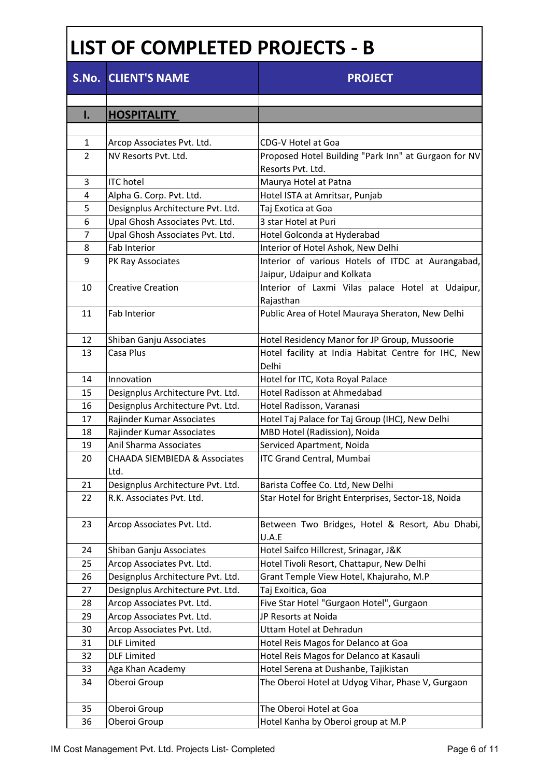## **LIST OF COMPLETED PROJECTS - B**

|                | <b>S.No. CLIENT'S NAME</b>                        | <b>PROJECT</b>                                               |
|----------------|---------------------------------------------------|--------------------------------------------------------------|
| I.             | <b>HOSPITALITY</b>                                |                                                              |
|                |                                                   |                                                              |
| 1              | Arcop Associates Pvt. Ltd.                        | CDG-V Hotel at Goa                                           |
| $\overline{2}$ | NV Resorts Pvt. Ltd.                              | Proposed Hotel Building "Park Inn" at Gurgaon for NV         |
|                |                                                   | Resorts Pvt. Ltd.                                            |
| 3              | <b>ITC</b> hotel                                  | Maurya Hotel at Patna                                        |
| 4              | Alpha G. Corp. Pvt. Ltd.                          | Hotel ISTA at Amritsar, Punjab                               |
| 5              | Designplus Architecture Pvt. Ltd.                 | Taj Exotica at Goa                                           |
| 6              | Upal Ghosh Associates Pvt. Ltd.                   | 3 star Hotel at Puri                                         |
| 7              | Upal Ghosh Associates Pvt. Ltd.                   | Hotel Golconda at Hyderabad                                  |
| 8              | Fab Interior                                      | Interior of Hotel Ashok, New Delhi                           |
| 9              | PK Ray Associates                                 | Interior of various Hotels of ITDC at Aurangabad,            |
|                |                                                   | Jaipur, Udaipur and Kolkata                                  |
| 10             | <b>Creative Creation</b>                          | Interior of Laxmi Vilas palace Hotel at Udaipur,             |
|                |                                                   | Rajasthan                                                    |
| 11             | Fab Interior                                      | Public Area of Hotel Mauraya Sheraton, New Delhi             |
| 12             | Shiban Ganju Associates                           | Hotel Residency Manor for JP Group, Mussoorie                |
| 13             | Casa Plus                                         | Hotel facility at India Habitat Centre for IHC, New<br>Delhi |
| 14             | Innovation                                        | Hotel for ITC, Kota Royal Palace                             |
| 15             | Designplus Architecture Pvt. Ltd.                 | Hotel Radisson at Ahmedabad                                  |
| 16             | Designplus Architecture Pvt. Ltd.                 | Hotel Radisson, Varanasi                                     |
| 17             | Rajinder Kumar Associates                         | Hotel Taj Palace for Taj Group (IHC), New Delhi              |
| 18             | Rajinder Kumar Associates                         | MBD Hotel (Radission), Noida                                 |
| 19             | Anil Sharma Associates                            | Serviced Apartment, Noida                                    |
| 20             | <b>CHAADA SIEMBIEDA &amp; Associates</b><br>ILtd. | <b>ITC Grand Central, Mumbai</b>                             |
| 21             | Designplus Architecture Pvt. Ltd.                 | Barista Coffee Co. Ltd, New Delhi                            |
| 22             | R.K. Associates Pvt. Ltd.                         | Star Hotel for Bright Enterprises, Sector-18, Noida          |
| 23             | Arcop Associates Pvt. Ltd.                        | Between Two Bridges, Hotel & Resort, Abu Dhabi,<br>U.A.E     |
| 24             | Shiban Ganju Associates                           | Hotel Saifco Hillcrest, Srinagar, J&K                        |
| 25             | Arcop Associates Pvt. Ltd.                        | Hotel Tivoli Resort, Chattapur, New Delhi                    |
| 26             | Designplus Architecture Pvt. Ltd.                 | Grant Temple View Hotel, Khajuraho, M.P                      |
| 27             | Designplus Architecture Pvt. Ltd.                 | Taj Exoitica, Goa                                            |
| 28             | Arcop Associates Pvt. Ltd.                        | Five Star Hotel "Gurgaon Hotel", Gurgaon                     |
| 29             | Arcop Associates Pvt. Ltd.                        | JP Resorts at Noida                                          |
| 30             | Arcop Associates Pvt. Ltd.                        | Uttam Hotel at Dehradun                                      |
| 31             | <b>DLF</b> Limited                                | Hotel Reis Magos for Delanco at Goa                          |
| 32             | <b>DLF</b> Limited                                | Hotel Reis Magos for Delanco at Kasauli                      |
| 33             | Aga Khan Academy                                  | Hotel Serena at Dushanbe, Tajikistan                         |
| 34             | Oberoi Group                                      | The Oberoi Hotel at Udyog Vihar, Phase V, Gurgaon            |
| 35             | Oberoi Group                                      | The Oberoi Hotel at Goa                                      |
| 36             | Oberoi Group                                      | Hotel Kanha by Oberoi group at M.P                           |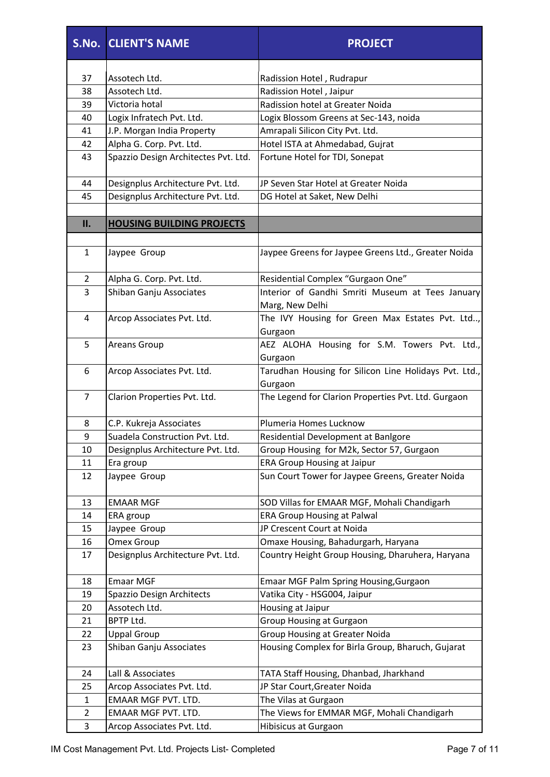|                | <b>S.No. CLIENT'S NAME</b>           | <b>PROJECT</b>                                        |
|----------------|--------------------------------------|-------------------------------------------------------|
|                |                                      |                                                       |
| 37             | Assotech Ltd.                        | Radission Hotel, Rudrapur                             |
| 38             | Assotech Ltd.                        | Radission Hotel, Jaipur                               |
| 39             | Victoria hotal                       | Radission hotel at Greater Noida                      |
| 40             | Logix Infratech Pvt. Ltd.            | Logix Blossom Greens at Sec-143, noida                |
| 41             | J.P. Morgan India Property           | Amrapali Silicon City Pvt. Ltd.                       |
| 42             | Alpha G. Corp. Pvt. Ltd.             | Hotel ISTA at Ahmedabad, Gujrat                       |
| 43             | Spazzio Design Architectes Pvt. Ltd. | Fortune Hotel for TDI, Sonepat                        |
| 44             | Designplus Architecture Pvt. Ltd.    | JP Seven Star Hotel at Greater Noida                  |
| 45             | Designplus Architecture Pvt. Ltd.    | DG Hotel at Saket, New Delhi                          |
| II.            | <b>HOUSING BUILDING PROJECTS</b>     |                                                       |
|                |                                      |                                                       |
| $\mathbf{1}$   | Jaypee Group                         | Jaypee Greens for Jaypee Greens Ltd., Greater Noida   |
| 2              | Alpha G. Corp. Pvt. Ltd.             | Residential Complex "Gurgaon One"                     |
| 3              | Shiban Ganju Associates              | Interior of Gandhi Smriti Museum at Tees January      |
|                |                                      | Marg, New Delhi                                       |
| 4              | Arcop Associates Pvt. Ltd.           | The IVY Housing for Green Max Estates Pvt. Ltd,       |
|                |                                      | Gurgaon                                               |
| 5              | <b>Areans Group</b>                  | AEZ ALOHA Housing for S.M. Towers Pvt. Ltd.,          |
|                |                                      | Gurgaon                                               |
| 6              | Arcop Associates Pvt. Ltd.           | Tarudhan Housing for Silicon Line Holidays Pvt. Ltd., |
|                |                                      | Gurgaon                                               |
| $\overline{7}$ | Clarion Properties Pvt. Ltd.         | The Legend for Clarion Properties Pvt. Ltd. Gurgaon   |
| 8              | C.P. Kukreja Associates              | Plumeria Homes Lucknow                                |
| 9              | Suadela Construction Pvt. Ltd.       | Residential Development at Banlgore                   |
| 10             | Designplus Architecture Pvt. Ltd.    | Group Housing for M2k, Sector 57, Gurgaon             |
| 11             | Era group                            | <b>ERA Group Housing at Jaipur</b>                    |
| 12             | Jaypee Group                         | Sun Court Tower for Jaypee Greens, Greater Noida      |
| 13             | <b>EMAAR MGF</b>                     | SOD Villas for EMAAR MGF, Mohali Chandigarh           |
| 14             | ERA group                            | <b>ERA Group Housing at Palwal</b>                    |
| 15             | Jaypee Group                         | JP Crescent Court at Noida                            |
| 16             | <b>Omex Group</b>                    | Omaxe Housing, Bahadurgarh, Haryana                   |
| 17             | Designplus Architecture Pvt. Ltd.    | Country Height Group Housing, Dharuhera, Haryana      |
| 18             | <b>Emaar MGF</b>                     | Emaar MGF Palm Spring Housing, Gurgaon                |
| 19             | Spazzio Design Architects            | Vatika City - HSG004, Jaipur                          |
| 20             | Assotech Ltd.                        | Housing at Jaipur                                     |
| 21             | BPTP Ltd.                            | <b>Group Housing at Gurgaon</b>                       |
| 22             | <b>Uppal Group</b>                   | <b>Group Housing at Greater Noida</b>                 |
| 23             | Shiban Ganju Associates              | Housing Complex for Birla Group, Bharuch, Gujarat     |
| 24             | Lall & Associates                    | TATA Staff Housing, Dhanbad, Jharkhand                |
| 25             | Arcop Associates Pvt. Ltd.           | JP Star Court, Greater Noida                          |
| $\mathbf{1}$   | EMAAR MGF PVT. LTD.                  | The Vilas at Gurgaon                                  |
| $\overline{2}$ | EMAAR MGF PVT. LTD.                  | The Views for EMMAR MGF, Mohali Chandigarh            |
| 3              | Arcop Associates Pvt. Ltd.           | Hibisicus at Gurgaon                                  |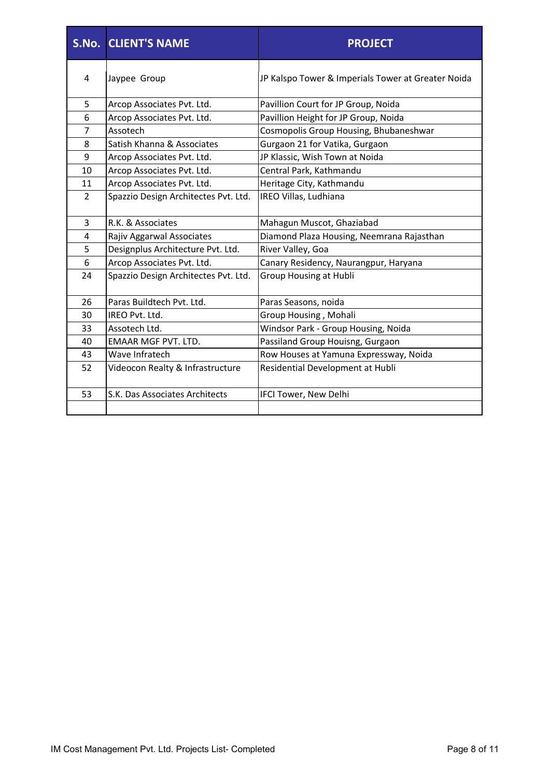|                | <b>S.No. CLIENT'S NAME</b>           | <b>PROJECT</b>                                     |
|----------------|--------------------------------------|----------------------------------------------------|
| 4              | Jaypee Group                         | JP Kalspo Tower & Imperials Tower at Greater Noida |
| 5              | Arcop Associates Pvt. Ltd.           | Pavillion Court for JP Group, Noida                |
| 6              | Arcop Associates Pvt. Ltd.           | Pavillion Height for JP Group, Noida               |
| 7              | Assotech                             | Cosmopolis Group Housing, Bhubaneshwar             |
| 8              | Satish Khanna & Associates           | Gurgaon 21 for Vatika, Gurgaon                     |
| 9              | Arcop Associates Pvt. Ltd.           | JP Klassic, Wish Town at Noida                     |
| 10             | Arcop Associates Pvt. Ltd.           | Central Park, Kathmandu                            |
| 11             | Arcop Associates Pvt. Ltd.           | Heritage City, Kathmandu                           |
| $\overline{2}$ | Spazzio Design Architectes Pvt. Ltd. | IREO Villas, Ludhiana                              |
| 3              | R.K. & Associates                    | Mahagun Muscot, Ghaziabad                          |
| 4              | Rajiv Aggarwal Associates            | Diamond Plaza Housing, Neemrana Rajasthan          |
| 5              | Designplus Architecture Pvt. Ltd.    | River Valley, Goa                                  |
| 6              | Arcop Associates Pvt. Ltd.           | Canary Residency, Naurangpur, Haryana              |
| 24             | Spazzio Design Architectes Pvt. Ltd. | <b>Group Housing at Hubli</b>                      |
| 26             | Paras Buildtech Pvt. Ltd.            | Paras Seasons, noida                               |
| 30             | IREO Pvt. Ltd.                       | Group Housing, Mohali                              |
| 33             | Assotech Ltd.                        | Windsor Park - Group Housing, Noida                |
| 40             | <b>EMAAR MGF PVT. LTD.</b>           | Passiland Group Houisng, Gurgaon                   |
| 43             | Wave Infratech                       | Row Houses at Yamuna Expressway, Noida             |
| 52             | Videocon Realty & Infrastructure     | Residential Development at Hubli                   |
| 53             | S.K. Das Associates Architects       | IFCI Tower, New Delhi                              |
|                |                                      |                                                    |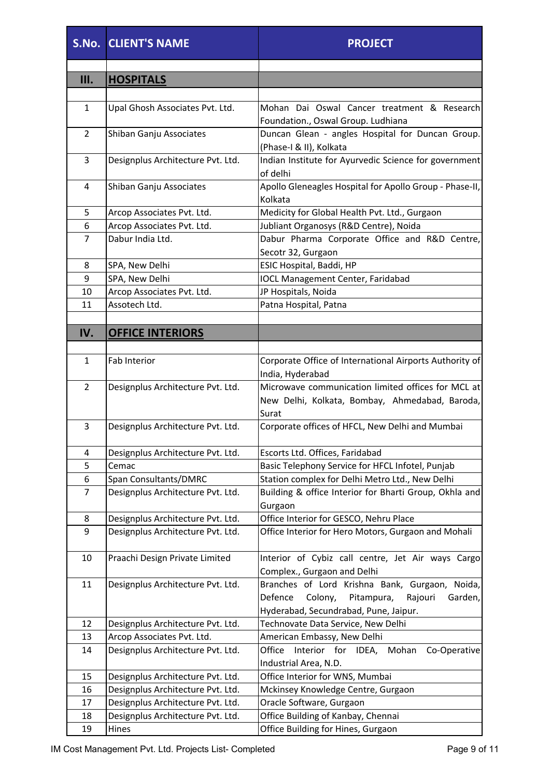|                  | <b>S.No. CLIENT'S NAME</b>        | <b>PROJECT</b>                                                                                                                                    |
|------------------|-----------------------------------|---------------------------------------------------------------------------------------------------------------------------------------------------|
| Ш.               | <b>HOSPITALS</b>                  |                                                                                                                                                   |
|                  |                                   |                                                                                                                                                   |
| $\mathbf{1}$     | Upal Ghosh Associates Pvt. Ltd.   | Mohan Dai Oswal Cancer treatment & Research<br>Foundation., Oswal Group. Ludhiana                                                                 |
| $\overline{2}$   | Shiban Ganju Associates           | Duncan Glean - angles Hospital for Duncan Group.<br>(Phase-I & II), Kolkata                                                                       |
| 3                | Designplus Architecture Pvt. Ltd. | Indian Institute for Ayurvedic Science for government<br>of delhi                                                                                 |
| 4                | Shiban Ganju Associates           | Apollo Gleneagles Hospital for Apollo Group - Phase-II,<br>Kolkata                                                                                |
| 5                | Arcop Associates Pvt. Ltd.        | Medicity for Global Health Pvt. Ltd., Gurgaon                                                                                                     |
| 6                | Arcop Associates Pvt. Ltd.        | Jubliant Organosys (R&D Centre), Noida                                                                                                            |
| $\overline{7}$   | Dabur India Ltd.                  | Dabur Pharma Corporate Office and R&D Centre,<br>Secotr 32, Gurgaon                                                                               |
| 8                | SPA, New Delhi                    | ESIC Hospital, Baddi, HP                                                                                                                          |
| 9                | SPA, New Delhi                    | <b>IOCL Management Center, Faridabad</b>                                                                                                          |
| 10               | Arcop Associates Pvt. Ltd.        | JP Hospitals, Noida                                                                                                                               |
| 11               | Assotech Ltd.                     | Patna Hospital, Patna                                                                                                                             |
|                  |                                   |                                                                                                                                                   |
| IV.              | <b>OFFICE INTERIORS</b>           |                                                                                                                                                   |
| $\mathbf{1}$     | Fab Interior                      | Corporate Office of International Airports Authority of<br>India, Hyderabad                                                                       |
| $\overline{2}$   | Designplus Architecture Pvt. Ltd. | Microwave communication limited offices for MCL at<br>New Delhi, Kolkata, Bombay, Ahmedabad, Baroda,<br>Surat                                     |
| $\overline{3}$   | Designplus Architecture Pvt. Ltd. | Corporate offices of HFCL, New Delhi and Mumbai                                                                                                   |
| 4                | Designplus Architecture Pvt. Ltd. | Escorts Ltd. Offices, Faridabad                                                                                                                   |
| 5                | Cemac                             | Basic Telephony Service for HFCL Infotel, Punjab                                                                                                  |
| 6                | <b>Span Consultants/DMRC</b>      | Station complex for Delhi Metro Ltd., New Delhi                                                                                                   |
| 7                | Designplus Architecture Pvt. Ltd. | Building & office Interior for Bharti Group, Okhla and<br>Gurgaon                                                                                 |
| 8                | Designplus Architecture Pvt. Ltd. | Office Interior for GESCO, Nehru Place                                                                                                            |
| $\boldsymbol{9}$ | Designplus Architecture Pvt. Ltd. | Office Interior for Hero Motors, Gurgaon and Mohali                                                                                               |
| 10               | Praachi Design Private Limited    | Interior of Cybiz call centre, Jet Air ways Cargo<br>Complex., Gurgaon and Delhi                                                                  |
| 11               | Designplus Architecture Pvt. Ltd. | Branches of Lord Krishna Bank, Gurgaon, Noida,<br>Defence<br>Colony,<br>Pitampura,<br>Rajouri<br>Garden,<br>Hyderabad, Secundrabad, Pune, Jaipur. |
| 12               | Designplus Architecture Pvt. Ltd. | Technovate Data Service, New Delhi                                                                                                                |
| 13               | Arcop Associates Pvt. Ltd.        | American Embassy, New Delhi                                                                                                                       |
| 14               | Designplus Architecture Pvt. Ltd. | Interior for IDEA,<br>Mohan<br>Office<br>Co-Operative<br>Industrial Area, N.D.                                                                    |
| 15               | Designplus Architecture Pvt. Ltd. | Office Interior for WNS, Mumbai                                                                                                                   |
| 16               | Designplus Architecture Pvt. Ltd. | Mckinsey Knowledge Centre, Gurgaon                                                                                                                |
| 17               | Designplus Architecture Pvt. Ltd. | Oracle Software, Gurgaon                                                                                                                          |
| 18               | Designplus Architecture Pvt. Ltd. | Office Building of Kanbay, Chennai                                                                                                                |
| 19               | Hines                             | Office Building for Hines, Gurgaon                                                                                                                |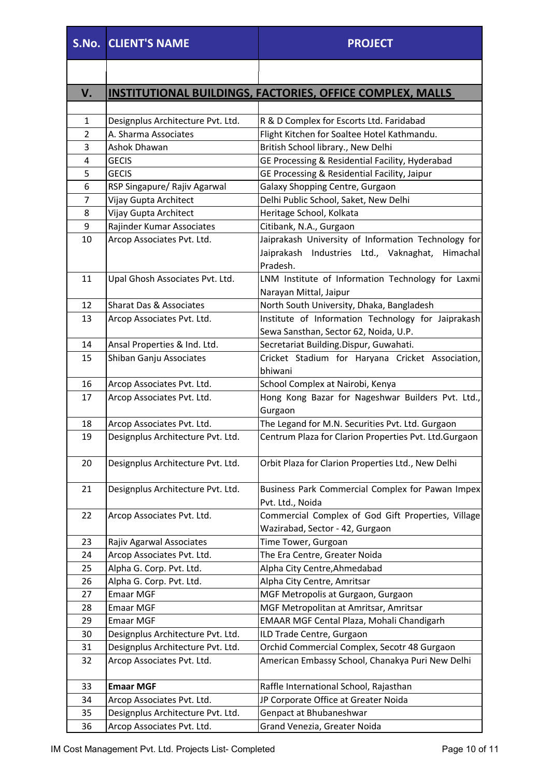|                | <b>S.No. CLIENT'S NAME</b>         | <b>PROJECT</b>                                                   |
|----------------|------------------------------------|------------------------------------------------------------------|
|                |                                    |                                                                  |
| V.             |                                    | <b>INSTITUTIONAL BUILDINGS, FACTORIES, OFFICE COMPLEX, MALLS</b> |
|                |                                    |                                                                  |
| $\mathbf{1}$   | Designplus Architecture Pvt. Ltd.  | R & D Complex for Escorts Ltd. Faridabad                         |
| $\overline{2}$ | A. Sharma Associates               | Flight Kitchen for Soaltee Hotel Kathmandu.                      |
| 3              | Ashok Dhawan                       | British School library., New Delhi                               |
| 4              | <b>GECIS</b>                       | GE Processing & Residential Facility, Hyderabad                  |
| 5              | <b>GECIS</b>                       | GE Processing & Residential Facility, Jaipur                     |
| 6              | RSP Singapure/ Rajiv Agarwal       | Galaxy Shopping Centre, Gurgaon                                  |
| 7              | Vijay Gupta Architect              | Delhi Public School, Saket, New Delhi                            |
| 8              | Vijay Gupta Architect              | Heritage School, Kolkata                                         |
| 9              | Rajinder Kumar Associates          | Citibank, N.A., Gurgaon                                          |
| 10             | Arcop Associates Pvt. Ltd.         | Jaiprakash University of Information Technology for              |
|                |                                    | Jaiprakash Industries Ltd., Vaknaghat,<br>Himachal               |
|                |                                    | Pradesh.                                                         |
| 11             | Upal Ghosh Associates Pvt. Ltd.    | LNM Institute of Information Technology for Laxmi                |
|                |                                    | Narayan Mittal, Jaipur                                           |
| 12             | <b>Sharat Das &amp; Associates</b> | North South University, Dhaka, Bangladesh                        |
| 13             | Arcop Associates Pvt. Ltd.         | Institute of Information Technology for Jaiprakash               |
|                |                                    | Sewa Sansthan, Sector 62, Noida, U.P.                            |
| 14             | Ansal Properties & Ind. Ltd.       | Secretariat Building.Dispur, Guwahati.                           |
| 15             | Shiban Ganju Associates            | Cricket Stadium for Haryana Cricket Association,                 |
|                |                                    | bhiwani                                                          |
| 16             | Arcop Associates Pvt. Ltd.         | School Complex at Nairobi, Kenya                                 |
| 17             | Arcop Associates Pvt. Ltd.         | Hong Kong Bazar for Nageshwar Builders Pvt. Ltd.,                |
|                |                                    | Gurgaon                                                          |
| 18             | Arcop Associates Pvt. Ltd.         | The Legand for M.N. Securities Pvt. Ltd. Gurgaon                 |
| 19             | Designplus Architecture Pvt. Ltd.  | Centrum Plaza for Clarion Properties Pvt. Ltd.Gurgaon            |
| 20             | Designplus Architecture Pvt. Ltd.  | Orbit Plaza for Clarion Properties Ltd., New Delhi               |
| 21             | Designplus Architecture Pvt. Ltd.  | Business Park Commercial Complex for Pawan Impex                 |
|                |                                    | Pvt. Ltd., Noida                                                 |
| 22             | Arcop Associates Pvt. Ltd.         | Commercial Complex of God Gift Properties, Village               |
|                |                                    | Wazirabad, Sector - 42, Gurgaon                                  |
| 23             | Rajiv Agarwal Associates           | Time Tower, Gurgoan                                              |
| 24             | Arcop Associates Pvt. Ltd.         | The Era Centre, Greater Noida                                    |
| 25             | Alpha G. Corp. Pvt. Ltd.           | Alpha City Centre, Ahmedabad                                     |
| 26             | Alpha G. Corp. Pvt. Ltd.           | Alpha City Centre, Amritsar                                      |
| 27             | <b>Emaar MGF</b>                   | MGF Metropolis at Gurgaon, Gurgaon                               |
| 28             | <b>Emaar MGF</b>                   | MGF Metropolitan at Amritsar, Amritsar                           |
| 29             | <b>Emaar MGF</b>                   | EMAAR MGF Cental Plaza, Mohali Chandigarh                        |
| 30             | Designplus Architecture Pvt. Ltd.  | ILD Trade Centre, Gurgaon                                        |
| 31             | Designplus Architecture Pvt. Ltd.  | Orchid Commercial Complex, Secotr 48 Gurgaon                     |
| 32             | Arcop Associates Pvt. Ltd.         | American Embassy School, Chanakya Puri New Delhi                 |
| 33             | <b>Emaar MGF</b>                   | Raffle International School, Rajasthan                           |
| 34             | Arcop Associates Pvt. Ltd.         | JP Corporate Office at Greater Noida                             |
| 35             | Designplus Architecture Pvt. Ltd.  | Genpact at Bhubaneshwar                                          |
| 36             | Arcop Associates Pvt. Ltd.         | Grand Venezia, Greater Noida                                     |